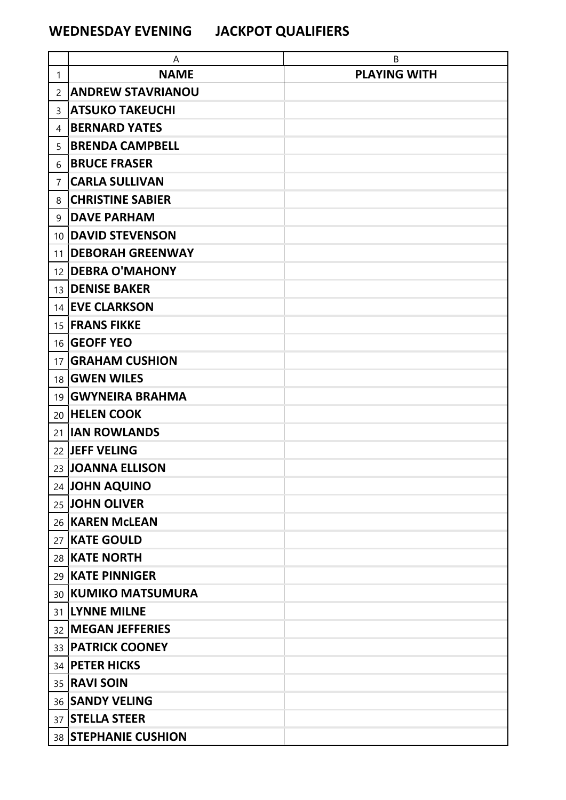## **WEDNESDAY EVENING JACKPOT QUALIFIERS**

|                 | A                        | B                   |
|-----------------|--------------------------|---------------------|
| $\mathbf{1}$    | <b>NAME</b>              | <b>PLAYING WITH</b> |
| 2               | <b>ANDREW STAVRIANOU</b> |                     |
| 3               | <b>ATSUKO TAKEUCHI</b>   |                     |
| 4               | <b>BERNARD YATES</b>     |                     |
| 5               | <b>BRENDA CAMPBELL</b>   |                     |
| 6               | <b>BRUCE FRASER</b>      |                     |
| 7               | <b>CARLA SULLIVAN</b>    |                     |
| 8               | <b>CHRISTINE SABIER</b>  |                     |
| 9               | <b>DAVE PARHAM</b>       |                     |
| 10 <sup>1</sup> | <b>DAVID STEVENSON</b>   |                     |
| 11              | <b>DEBORAH GREENWAY</b>  |                     |
| 12 <sub>1</sub> | <b>DEBRA O'MAHONY</b>    |                     |
| 13              | <b>DENISE BAKER</b>      |                     |
|                 | 14 EVE CLARKSON          |                     |
|                 | 15 <b>FRANS FIKKE</b>    |                     |
|                 | 16 GEOFF YEO             |                     |
| 17              | <b>GRAHAM CUSHION</b>    |                     |
|                 | 18 <b>GWEN WILES</b>     |                     |
|                 | 19   GWYNEIRA BRAHMA     |                     |
|                 | 20 HELEN COOK            |                     |
| 21              | <b>IIAN ROWLANDS</b>     |                     |
|                 | 22 JEFF VELING           |                     |
|                 | 23 JOANNA ELLISON        |                     |
|                 | 24 JOHN AQUINO           |                     |
|                 | 25 JOHN OLIVER           |                     |
|                 | 26   KAREN McLEAN        |                     |
|                 | 27 KATE GOULD            |                     |
|                 | 28 KATE NORTH            |                     |
|                 | 29 KATE PINNIGER         |                     |
|                 | 30 KUMIKO MATSUMURA      |                     |
|                 | 31 LYNNE MILNE           |                     |
|                 | 32   MEGAN JEFFERIES     |                     |
|                 | 33 <b>PATRICK COONEY</b> |                     |
|                 | 34 <b>PETER HICKS</b>    |                     |
|                 | 35 <b>RAVI SOIN</b>      |                     |
|                 | 36 SANDY VELING          |                     |
|                 | 37 STELLA STEER          |                     |
|                 | 38 STEPHANIE CUSHION     |                     |